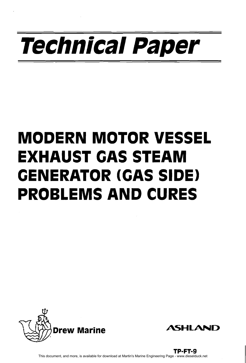# **Technical Paper**

## **MODERN MOTOR VESSEL EXHAUST GAS STEAM GENERATOR (GAS SIDE) PROBLEMS AND CURES**





TP-FT-9 This document, and more, is available for download at Martin's Marine Engineering Page - www.dieselduck.net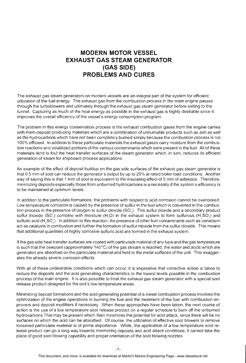### **MODERN MOTOR VESSEL EXHAUST GAS STEAM GENERATOR (GAS SIDE) PROBLEMS AND CURES**

The exhaust gas steam generators on modern vessels are an integral part of the system for efficient utilization of the fuel energy. The exhaust gas from the combustion process in the main engine passes through the turboblowers and ultimately through the exhaust gas steam generator before exiting to the funnel. Capturing as much of the heat energy as possible in the exhaust gas is highly desirable since it improves the overall efficiency of the vessel's energy consumption program.

The problem in this energy conservation process is the exhaust combustion gases from the engine carries with them deposit producing materials which are a combination of unburnable products such as ash as well as the hydrocarbons which have not been completely burned simply because the combustion process is not 100% efficient. In addition to these particulate materials the exhaust gases carry moisture from the combustion reactions and volatilized portions of the various contaminants which were present in the fuel. All of these materials tend to foul the heat transfer surfaces of the steam generator which, in turn, reduces its efficient generation of steam for shipboard process applications.

An example of the effect of deposit buildup on the gas side surfaces of the exhaust gas steam generator is that 0.5 mm of soot can reduce the generator's output by up to 20% at rated boiler load conditions. Another way of saying this is that 1 mm of soot is equivalent to the insulating effect of 5 mm of asbestos. Therefore. minimizing deposits especially those from unburned hydrocarbons is a necessity if the system's efficiency is to be maintained at optimum levels.

In addition to the particulate formations, the problems with respect to acid corrosion cannot be overlooked. Low temperature corrosion is caused by the presence of sulfur in the fuel which is converted in the combustion process in the presence of oxygen to sulfur dioxide (SO,). This sulfur dioxide and a secondary product sulfur trioxide (SO<sub> $3$ </sub>) combine with moisture (H<sub>2</sub>O) in the exhaust system to form sulfurous (H<sub>3</sub>SO<sub>3</sub>) and sulfuric acid (H<sub>3</sub>SO<sub>3</sub>). In addition to this reaction, the presence of other fuel contaminants such as vanadium act as catalysts in combustion and further the formation of sulfur trioxide from the sulfur dioxide. This means that additional quantities of highly corrosive sulfuric acid are formed in the exhaust system.

If the gas side heat transfer surfaces are coated with particulate material of any type and the gas temperature is such that the dewpoint (approximately 140°C) of the gas stream is reached, the water and acids which are generated are absorbed on the particulate material and held to the metal surfaces of the unit. This exaggerates the already severe corrosion effects.

With all of these undesirable conditions which can occur, it is imperative that corrective action is taken to reduce the deposits and the acid generating characteristics to the lowest levels possible in the combustion process of the main engine. It is also possible to treat the exhaust gas steam generator with a special soot release product designed for the unit's low temperature areas.

Minimizing deposit formations and the acid generating potential of a diesel combustion process involves the optimization of the engine operations in burning the fuel and the treatment of the fuel with combustion improvers and deposit modifiers if necessary. When these approaches have been taken, the next course of action is the use of a low temperature soot release product on a regular schedule to burn off the unburned hydrocarbons That may be present which then minimizes the potential for acid attack, since there will be no surfaces on which the acid can be absorbed. Of course, the utilization of effective soot blowers to remove loosened particulate material is of prime importance. While, the application of a low temperature soot release product can go a long way towards minimizing deposits and acid attack conditions, it cannot take the place of good soot blowing capability and proper orientation of the soot blowing nozzles.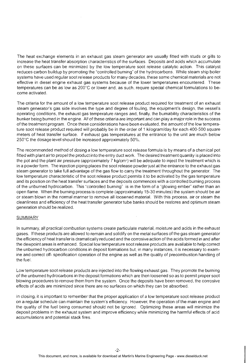The heat exchange elements in an exhaust gas steam generator are usually fitted with studs or gills to increase the heat transfer absorption characteristics of the surfaces, Deposits and acids which accumulate on these surfaces can be minimized by the low temperature soot release catalytic action. This catalyst reduces carbon buildup by promoting the "controlled burning" of the hydrocarbons. While steam ship boiler systems have used regular soot release products for many decades, these same chemical materials are not effective in diesel engine exhaust gas systems because of the lower temperatures encountered. These temperatures can be as low as 200°C or lower and. as such. require special chemical formulations to become activated.

The criteria for the amount of a low temperature soot release product required for treatment of an exhaust steam generator's gas side involves the type and degree of fouling, the equipment's design, the vessel's operating conditions, the exhaust gas temperature ranges and, finally, the burnability characteristics of the bunker being burned in the engine. All of these criteria are important and can play a major role in the success of the treatment program. Once these considerations have been evaluated, the amount of the low temperature soot release product required will probably be in the order of 1 kilogramlday for each 400-500 square meters of heat transfer surface. If exhaust gas temperatures at the entrance to the unit are much below  $250^{\circ}$ C the dosage level should be increased approximately  $50\%$ .

The recommended method of dosing a low temperature soot release formula is by means of a cheniical pot fitted with plant airto propel the product into the entry duct work. The desired treatment quantity is placed into the pot and the plant air pressure (approximately 7 kg/cm<sup>2</sup>) will be adequate to inject the treatment which is in a powder form. The injection piping places the soot release powderjust at the entrance to the exhaust gas steam generator to take full advantage of the gas flow to carry the treatment throughout the generator. The low temperature characteristic of the soot release product permits it to be activated by the gas temperature and its position on the heat transfer surfaces and the deposits commences with a controlled burning process of the unburned hydrocarbon. This "controlled burning" is in the form of a "glowing ember" rather than an open flame. When the burning process is complete (approximately 15-30 minutes) the system should be air or steam blown in the normal manner to remove all loosened material. With this process, air or steam the cleanliness and efficiency of the heat transfer generator tube banks should be restores and optimum steam generation should be realized.

#### **SUMMARY**

In summary, all practical combustion systems create particulate material, moisture and acids in the exhaust gases. If these products are allowed to remain and solidify on the metal surfaces of the gas steam generator the efficiencyof heat transfer is dramatically reduced and the corrosive action of the acids formed in and after the dewpoint areas is enhanced. Special low temperature soot release products are available to help correct the unburned hydrocarbon conditions in deposit formations but, in many instances, it is necessary to examine and correct off- specification operation of the engine as well as the quality of precombustion handling of the fuel.

Low temperature soot release products are injected into the flowing exhaust gas, They promote the burning of the unburned hydrocarbons in the deposit formations which are then loosened so as to permit proper soot blowing procedures to remove them from the system. Once the deposits have been removed. the corrosive effects of acids are minimized since there are no surfaces on which they can be absorbed.

In closing, it is important to remember that the proper application of a low temperature soot release product on a regular schedule can maintain the system's efficiency. However, the operation of the main engine and the quality of the fuel being consumed should not be ignored. Optimizing these areas will minimize the deposit problems in the exhaust system and improve efficiency while minimizing the harmful effects of acid accumulations and potential stack fires.

 $-2-$